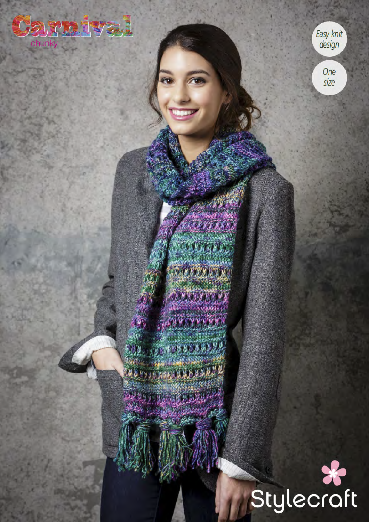

Easy knit

One size

**OVERALL** darana p MARTINEZ

REAL PROPERTY A ROCHARD AND **NEW CREEK KN XX**